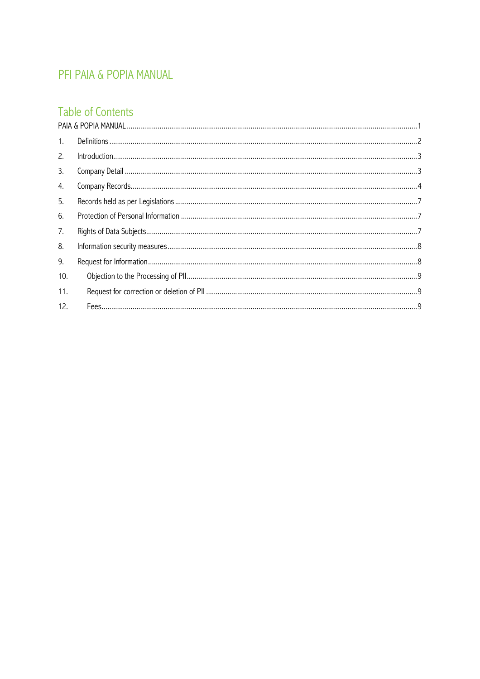# PFI PAIA & POPIA MANUAL

# Table of Contents

| 1.  |  |
|-----|--|
| 2.  |  |
| 3.  |  |
| 4.  |  |
| 5.  |  |
| 6.  |  |
| 7.  |  |
| 8.  |  |
| 9.  |  |
| 10. |  |
| 11. |  |
| 12. |  |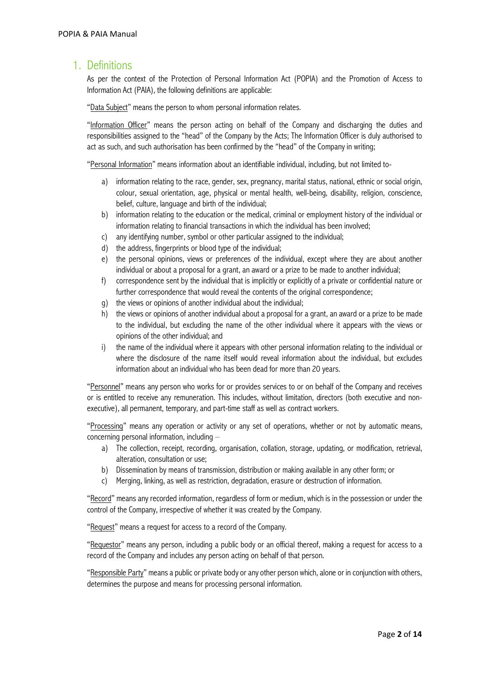### 1. Definitions

As per the context of the Protection of Personal Information Act (POPIA) and the Promotion of Access to Information Act (PAIA), the following definitions are applicable:

"Data Subject" means the person to whom personal information relates.

"Information Officer" means the person acting on behalf of the Company and discharging the duties and responsibilities assigned to the "head" of the Company by the Acts; The Information Officer is duly authorised to act as such, and such authorisation has been confirmed by the "head" of the Company in writing;

"Personal Information" means information about an identifiable individual, including, but not limited to-

- a) information relating to the race, gender, sex, pregnancy, marital status, national, ethnic or social origin, colour, sexual orientation, age, physical or mental health, well-being, disability, religion, conscience, belief, culture, language and birth of the individual;
- b) information relating to the education or the medical, criminal or employment history of the individual or information relating to financial transactions in which the individual has been involved;
- c) any identifying number, symbol or other particular assigned to the individual;
- d) the address, fingerprints or blood type of the individual;
- e) the personal opinions, views or preferences of the individual, except where they are about another individual or about a proposal for a grant, an award or a prize to be made to another individual;
- f) correspondence sent by the individual that is implicitly or explicitly of a private or confidential nature or further correspondence that would reveal the contents of the original correspondence;
- g) the views or opinions of another individual about the individual;
- h) the views or opinions of another individual about a proposal for a grant, an award or a prize to be made to the individual, but excluding the name of the other individual where it appears with the views or opinions of the other individual; and
- i) the name of the individual where it appears with other personal information relating to the individual or where the disclosure of the name itself would reveal information about the individual, but excludes information about an individual who has been dead for more than 20 years.

"Personnel" means any person who works for or provides services to or on behalf of the Company and receives or is entitled to receive any remuneration. This includes, without limitation, directors (both executive and nonexecutive), all permanent, temporary, and part-time staff as well as contract workers.

"Processing" means any operation or activity or any set of operations, whether or not by automatic means, concerning personal information, including –

- a) The collection, receipt, recording, organisation, collation, storage, updating, or modification, retrieval, alteration, consultation or use;
- b) Dissemination by means of transmission, distribution or making available in any other form; or
- c) Merging, linking, as well as restriction, degradation, erasure or destruction of information.

"Record" means any recorded information, regardless of form or medium, which is in the possession or under the control of the Company, irrespective of whether it was created by the Company.

"Request" means a request for access to a record of the Company.

"Requestor" means any person, including a public body or an official thereof, making a request for access to a record of the Company and includes any person acting on behalf of that person.

"Responsible Party" means a public or private body or any other person which, alone or in conjunction with others, determines the purpose and means for processing personal information.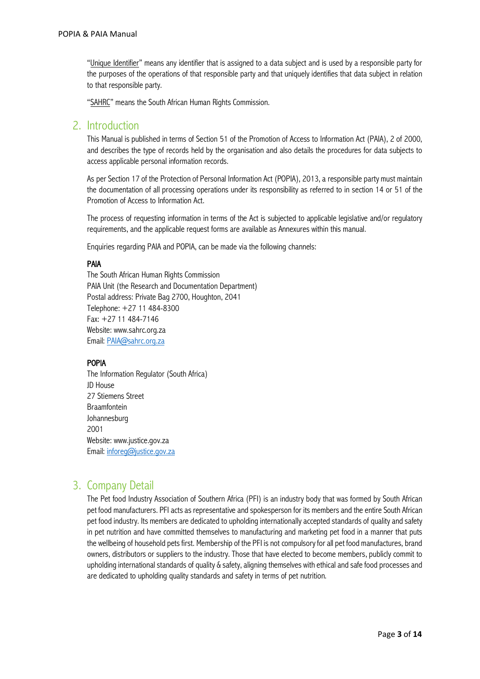"Unique Identifier" means any identifier that is assigned to a data subject and is used by a responsible party for the purposes of the operations of that responsible party and that uniquely identifies that data subject in relation to that responsible party.

"SAHRC" means the South African Human Rights Commission.

### 2. Introduction

This Manual is published in terms of Section 51 of the Promotion of Access to Information Act (PAIA), 2 of 2000, and describes the type of records held by the organisation and also details the procedures for data subjects to access applicable personal information records.

As per Section 17 of the Protection of Personal Information Act (POPIA), 2013, a responsible party must maintain the documentation of all processing operations under its responsibility as referred to in section 14 or 51 of the Promotion of Access to Information Act.

The process of requesting information in terms of the Act is subjected to applicable legislative and/or regulatory requirements, and the applicable request forms are available as Annexures within this manual.

Enquiries regarding PAIA and POPIA, can be made via the following channels:

### PAIA

The South African Human Rights Commission PAIA Unit (the Research and Documentation Department) Postal address: Private Bag 2700, Houghton, 2041 Telephone: +27 11 484-8300 Fax: +27 11 484-7146 Website: www.sahrc.org.za Email: PAIA@sahrc.org.za

### POPIA

The Information Regulator (South Africa) JD House 27 Stiemens Street Braamfontein Johannesburg 2001 Website: www.justice.gov.za Email: inforeg@justice.gov.za

# 3. Company Detail

The Pet food Industry Association of Southern Africa (PFI) is an industry body that was formed by South African pet food manufacturers. PFI acts as representative and spokesperson for its members and the entire South African pet food industry. Its members are dedicated to upholding internationally accepted standards of quality and safety in pet nutrition and have committed themselves to manufacturing and marketing pet food in a manner that puts the wellbeing of household pets first. Membership of the PFI is not compulsory for all pet food manufactures, brand owners, distributors or suppliers to the industry. Those that have elected to become members, publicly commit to upholding international standards of quality & safety, aligning themselves with ethical and safe food processes and are dedicated to upholding quality standards and safety in terms of pet nutrition.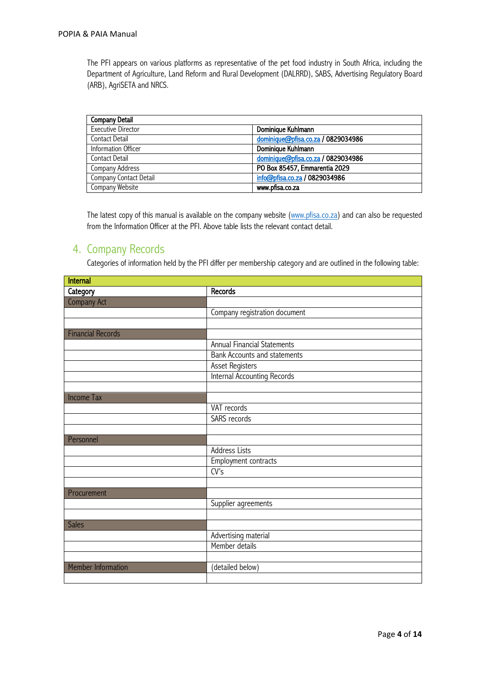The PFI appears on various platforms as representative of the pet food industry in South Africa, including the Department of Agriculture, Land Reform and Rural Development (DALRRD), SABS, Advertising Regulatory Board (ARB), AgriSETA and NRCS.

| Company Detail            |                                    |
|---------------------------|------------------------------------|
| <b>Executive Director</b> | Dominique Kuhlmann                 |
| Contact Detail            | dominique@pfisa.co.za / 0829034986 |
| Information Officer       | Dominique Kuhlmann                 |
| Contact Detail            | dominique@pfisa.co.za / 0829034986 |
| Company Address           | PO Box 85457, Emmarentia 2029      |
| Company Contact Detail    | info@pfisa.co.za / 0829034986      |
| Company Website           | www.pfisa.co.za                    |

The latest copy of this manual is available on the company website (www.pfisa.co.za) and can also be requested from the Information Officer at the PFI. Above table lists the relevant contact detail.

### 4. Company Records

Categories of information held by the PFI differ per membership category and are outlined in the following table:

| <b>Internal</b>           |                                     |
|---------------------------|-------------------------------------|
| Category                  | Records                             |
| Company Act               |                                     |
|                           | Company registration document       |
|                           |                                     |
| <b>Financial Records</b>  |                                     |
|                           | <b>Annual Financial Statements</b>  |
|                           | <b>Bank Accounts and statements</b> |
|                           | Asset Registers                     |
|                           | <b>Internal Accounting Records</b>  |
|                           |                                     |
| <b>Income Tax</b>         |                                     |
|                           | VAT records                         |
|                           | <b>SARS</b> records                 |
|                           |                                     |
| Personnel                 |                                     |
|                           | Address Lists                       |
|                           | Employment contracts                |
|                           | $\overline{\text{CV's}}$            |
|                           |                                     |
| Procurement               |                                     |
|                           | Supplier agreements                 |
|                           |                                     |
| <b>Sales</b>              |                                     |
|                           | Advertising material                |
|                           | Member details                      |
|                           |                                     |
| <b>Member Information</b> | (detailed below)                    |
|                           |                                     |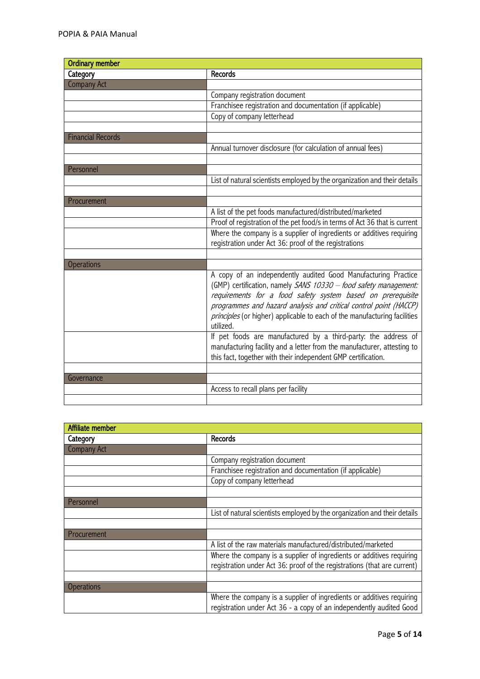| <b>Ordinary member</b>   |                                                                                        |  |  |  |  |  |
|--------------------------|----------------------------------------------------------------------------------------|--|--|--|--|--|
| Category                 | Records                                                                                |  |  |  |  |  |
| <b>Company Act</b>       |                                                                                        |  |  |  |  |  |
|                          | Company registration document                                                          |  |  |  |  |  |
|                          | Franchisee registration and documentation (if applicable)                              |  |  |  |  |  |
|                          | Copy of company letterhead                                                             |  |  |  |  |  |
|                          |                                                                                        |  |  |  |  |  |
| <b>Financial Records</b> |                                                                                        |  |  |  |  |  |
|                          | Annual turnover disclosure (for calculation of annual fees)                            |  |  |  |  |  |
|                          |                                                                                        |  |  |  |  |  |
| Personnel                |                                                                                        |  |  |  |  |  |
|                          | List of natural scientists employed by the organization and their details              |  |  |  |  |  |
|                          |                                                                                        |  |  |  |  |  |
| Procurement              |                                                                                        |  |  |  |  |  |
|                          | A list of the pet foods manufactured/distributed/marketed                              |  |  |  |  |  |
|                          | Proof of registration of the pet food/s in terms of Act 36 that is current             |  |  |  |  |  |
|                          | Where the company is a supplier of ingredients or additives requiring                  |  |  |  |  |  |
|                          | registration under Act 36: proof of the registrations                                  |  |  |  |  |  |
|                          |                                                                                        |  |  |  |  |  |
| <b>Operations</b>        |                                                                                        |  |  |  |  |  |
|                          | A copy of an independently audited Good Manufacturing Practice                         |  |  |  |  |  |
|                          | (GMP) certification, namely SANS 10330 - food safety management:                       |  |  |  |  |  |
|                          | requirements for a food safety system based on prerequisite                            |  |  |  |  |  |
|                          | programmes and hazard analysis and critical control point (HACCP)                      |  |  |  |  |  |
|                          | principles (or higher) applicable to each of the manufacturing facilities<br>utilized. |  |  |  |  |  |
|                          |                                                                                        |  |  |  |  |  |
|                          | If pet foods are manufactured by a third-party: the address of                         |  |  |  |  |  |
|                          | manufacturing facility and a letter from the manufacturer, attesting to                |  |  |  |  |  |
|                          | this fact, together with their independent GMP certification.                          |  |  |  |  |  |
|                          |                                                                                        |  |  |  |  |  |
| Governance               | Access to recall plans per facility                                                    |  |  |  |  |  |
|                          |                                                                                        |  |  |  |  |  |
|                          |                                                                                        |  |  |  |  |  |

| Affiliate member   |                                                                           |
|--------------------|---------------------------------------------------------------------------|
| Category           | Records                                                                   |
| <b>Company Act</b> |                                                                           |
|                    | Company registration document                                             |
|                    | Franchisee registration and documentation (if applicable)                 |
|                    | Copy of company letterhead                                                |
|                    |                                                                           |
| Personnel          |                                                                           |
|                    | List of natural scientists employed by the organization and their details |
|                    |                                                                           |
| Procurement        |                                                                           |
|                    | A list of the raw materials manufactured/distributed/marketed             |
|                    | Where the company is a supplier of ingredients or additives requiring     |
|                    | registration under Act 36: proof of the registrations (that are current)  |
|                    |                                                                           |
| <b>Operations</b>  |                                                                           |
|                    | Where the company is a supplier of ingredients or additives requiring     |
|                    | registration under Act 36 - a copy of an independently audited Good       |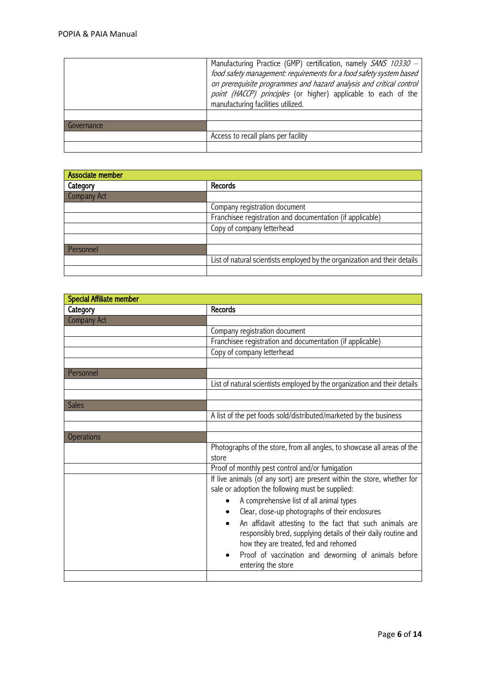|            | Manufacturing Practice (GMP) certification, namely SANS 10330 -<br>food safety management: requirements for a food safety system based<br>on prerequisite programmes and hazard analysis and critical control<br>point (HACCP) principles (or higher) applicable to each of the<br>manufacturing facilities utilized. |
|------------|-----------------------------------------------------------------------------------------------------------------------------------------------------------------------------------------------------------------------------------------------------------------------------------------------------------------------|
|            |                                                                                                                                                                                                                                                                                                                       |
| Governance |                                                                                                                                                                                                                                                                                                                       |
|            | Access to recall plans per facility                                                                                                                                                                                                                                                                                   |
|            |                                                                                                                                                                                                                                                                                                                       |

| Associate member |                                                                           |
|------------------|---------------------------------------------------------------------------|
| Category         | <b>Records</b>                                                            |
| Company Act      |                                                                           |
|                  | Company registration document                                             |
|                  | Franchisee registration and documentation (if applicable)                 |
|                  | Copy of company letterhead                                                |
|                  |                                                                           |
| Personnel        |                                                                           |
|                  | List of natural scientists employed by the organization and their details |
|                  |                                                                           |

| <b>Special Affiliate member</b> |                                                                           |  |  |  |  |  |
|---------------------------------|---------------------------------------------------------------------------|--|--|--|--|--|
| Category                        | Records                                                                   |  |  |  |  |  |
| <b>Company Act</b>              |                                                                           |  |  |  |  |  |
|                                 | Company registration document                                             |  |  |  |  |  |
|                                 | Franchisee registration and documentation (if applicable)                 |  |  |  |  |  |
|                                 | Copy of company letterhead                                                |  |  |  |  |  |
|                                 |                                                                           |  |  |  |  |  |
| Personnel                       |                                                                           |  |  |  |  |  |
|                                 | List of natural scientists employed by the organization and their details |  |  |  |  |  |
|                                 |                                                                           |  |  |  |  |  |
| <b>Sales</b>                    |                                                                           |  |  |  |  |  |
|                                 | A list of the pet foods sold/distributed/marketed by the business         |  |  |  |  |  |
|                                 |                                                                           |  |  |  |  |  |
| <b>Operations</b>               |                                                                           |  |  |  |  |  |
|                                 | Photographs of the store, from all angles, to showcase all areas of the   |  |  |  |  |  |
|                                 | store                                                                     |  |  |  |  |  |
|                                 | Proof of monthly pest control and/or fumigation                           |  |  |  |  |  |
|                                 | If live animals (of any sort) are present within the store, whether for   |  |  |  |  |  |
|                                 | sale or adoption the following must be supplied:                          |  |  |  |  |  |
|                                 | A comprehensive list of all animal types                                  |  |  |  |  |  |
|                                 | Clear, close-up photographs of their enclosures<br>$\bullet$              |  |  |  |  |  |
|                                 | An affidavit attesting to the fact that such animals are<br>$\bullet$     |  |  |  |  |  |
|                                 | responsibly bred, supplying details of their daily routine and            |  |  |  |  |  |
|                                 | how they are treated, fed and rehomed                                     |  |  |  |  |  |
|                                 | Proof of vaccination and deworming of animals before<br>$\bullet$         |  |  |  |  |  |
|                                 | entering the store                                                        |  |  |  |  |  |
|                                 |                                                                           |  |  |  |  |  |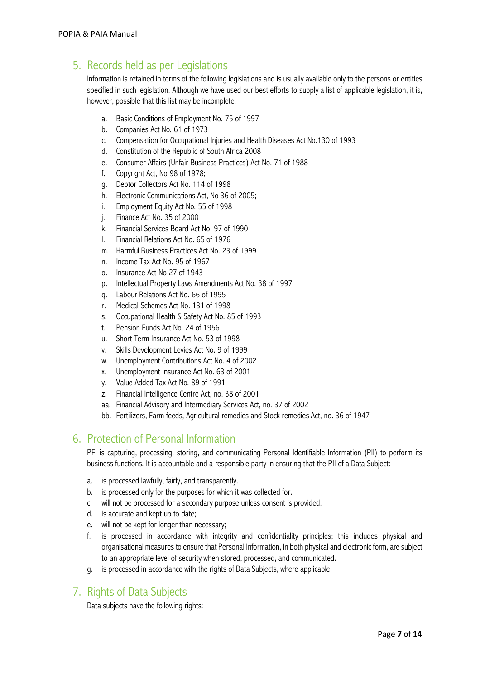# 5. Records held as per Legislations

Information is retained in terms of the following legislations and is usually available only to the persons or entities specified in such legislation. Although we have used our best efforts to supply a list of applicable legislation, it is, however, possible that this list may be incomplete.

- a. Basic Conditions of Employment No. 75 of 1997
- b. Companies Act No. 61 of 1973
- c. Compensation for Occupational Injuries and Health Diseases Act No.130 of 1993
- d. Constitution of the Republic of South Africa 2008
- e. Consumer Affairs (Unfair Business Practices) Act No. 71 of 1988
- f. Copyright Act, No 98 of 1978;
- g. Debtor Collectors Act No. 114 of 1998
- h. Electronic Communications Act, No 36 of 2005;
- i. Employment Equity Act No. 55 of 1998
- j. Finance Act No. 35 of 2000
- k. Financial Services Board Act No. 97 of 1990
- l. Financial Relations Act No. 65 of 1976
- m. Harmful Business Practices Act No. 23 of 1999
- n. Income Tax Act No. 95 of 1967
- o. Insurance Act No 27 of 1943
- p. Intellectual Property Laws Amendments Act No. 38 of 1997
- q. Labour Relations Act No. 66 of 1995
- r. Medical Schemes Act No. 131 of 1998
- s. Occupational Health & Safety Act No. 85 of 1993
- t. Pension Funds Act No. 24 of 1956
- u. Short Term Insurance Act No. 53 of 1998
- v. Skills Development Levies Act No. 9 of 1999
- w. Unemployment Contributions Act No. 4 of 2002
- x. Unemployment Insurance Act No. 63 of 2001
- y. Value Added Tax Act No. 89 of 1991
- z. Financial Intelligence Centre Act, no. 38 of 2001
- aa. Financial Advisory and Intermediary Services Act, no. 37 of 2002
- bb. Fertilizers, Farm feeds, Agricultural remedies and Stock remedies Act, no. 36 of 1947

## 6. Protection of Personal Information

PFI is capturing, processing, storing, and communicating Personal Identifiable Information (PII) to perform its business functions. It is accountable and a responsible party in ensuring that the PII of a Data Subject:

- a. is processed lawfully, fairly, and transparently.
- b. is processed only for the purposes for which it was collected for.
- c. will not be processed for a secondary purpose unless consent is provided.
- d. is accurate and kept up to date;
- e. will not be kept for longer than necessary;
- f. is processed in accordance with integrity and confidentiality principles; this includes physical and organisational measures to ensure that Personal Information, in both physical and electronic form, are subject to an appropriate level of security when stored, processed, and communicated.
- g. is processed in accordance with the rights of Data Subjects, where applicable.

## 7. Rights of Data Subjects

Data subjects have the following rights: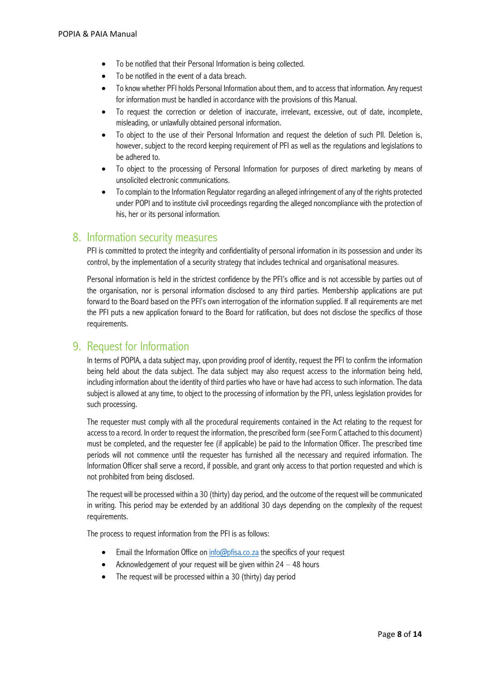- To be notified that their Personal Information is being collected.
- To be notified in the event of a data breach.
- To know whether PFI holds Personal Information about them, and to access that information. Any request for information must be handled in accordance with the provisions of this Manual.
- To request the correction or deletion of inaccurate, irrelevant, excessive, out of date, incomplete, misleading, or unlawfully obtained personal information.
- To object to the use of their Personal Information and request the deletion of such PII. Deletion is, however, subject to the record keeping requirement of PFI as well as the regulations and legislations to be adhered to.
- To object to the processing of Personal Information for purposes of direct marketing by means of unsolicited electronic communications.
- To complain to the Information Regulator regarding an alleged infringement of any of the rights protected under POPI and to institute civil proceedings regarding the alleged noncompliance with the protection of his, her or its personal information.

### 8. Information security measures

PFI is committed to protect the integrity and confidentiality of personal information in its possession and under its control, by the implementation of a security strategy that includes technical and organisational measures.

Personal information is held in the strictest confidence by the PFI's office and is not accessible by parties out of the organisation, nor is personal information disclosed to any third parties. Membership applications are put forward to the Board based on the PFI's own interrogation of the information supplied. If all requirements are met the PFI puts a new application forward to the Board for ratification, but does not disclose the specifics of those requirements.

## 9. Request for Information

In terms of POPIA, a data subject may, upon providing proof of identity, request the PFI to confirm the information being held about the data subject. The data subject may also request access to the information being held, including information about the identity of third parties who have or have had access to such information. The data subject is allowed at any time, to object to the processing of information by the PFI, unless legislation provides for such processing.

The requester must comply with all the procedural requirements contained in the Act relating to the request for access to a record. In order to request the information, the prescribed form (see Form C attached to this document) must be completed, and the requester fee (if applicable) be paid to the Information Officer. The prescribed time periods will not commence until the requester has furnished all the necessary and required information. The Information Officer shall serve a record, if possible, and grant only access to that portion requested and which is not prohibited from being disclosed.

The request will be processed within a 30 (thirty) day period, and the outcome of the request will be communicated in writing. This period may be extended by an additional 30 days depending on the complexity of the request requirements.

The process to request information from the PFI is as follows:

- Email the Information Office on  $info@p$ fisa.co.za the specifics of your request
- Acknowledgement of your request will be given within  $24 48$  hours
- The request will be processed within a 30 (thirty) day period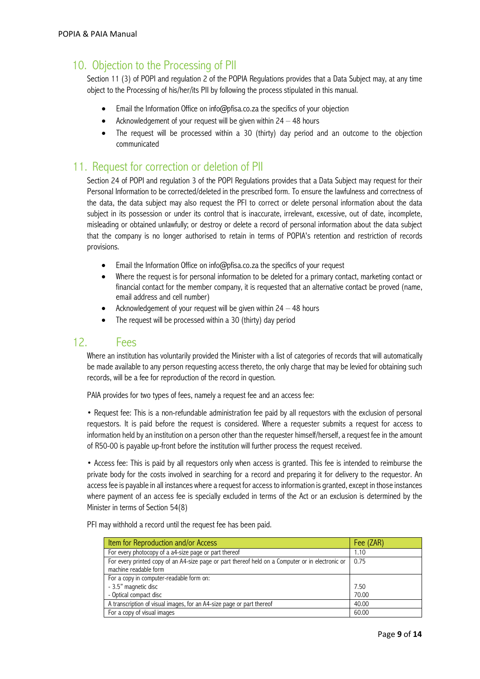# 10. Objection to the Processing of PII

Section 11 (3) of POPI and regulation 2 of the POPIA Regulations provides that a Data Subject may, at any time object to the Processing of his/her/its PII by following the process stipulated in this manual.

- Email the Information Office on info@pfisa.co.za the specifics of your objection
- Acknowledgement of your request will be given within  $24 48$  hours
- The request will be processed within a 30 (thirty) day period and an outcome to the objection communicated

## 11. Request for correction or deletion of PII

Section 24 of POPI and regulation 3 of the POPI Regulations provides that a Data Subject may request for their Personal Information to be corrected/deleted in the prescribed form. To ensure the lawfulness and correctness of the data, the data subject may also request the PFI to correct or delete personal information about the data subject in its possession or under its control that is inaccurate, irrelevant, excessive, out of date, incomplete, misleading or obtained unlawfully; or destroy or delete a record of personal information about the data subject that the company is no longer authorised to retain in terms of POPIA's retention and restriction of records provisions.

- Email the Information Office on info@pfisa.co.za the specifics of your request
- Where the request is for personal information to be deleted for a primary contact, marketing contact or financial contact for the member company, it is requested that an alternative contact be proved (name, email address and cell number)
- Acknowledgement of your request will be given within  $24 48$  hours
- The request will be processed within a 30 (thirty) day period

## 12. Fees

Where an institution has voluntarily provided the Minister with a list of categories of records that will automatically be made available to any person requesting access thereto, the only charge that may be levied for obtaining such records, will be a fee for reproduction of the record in question.

PAIA provides for two types of fees, namely a request fee and an access fee:

• Request fee: This is a non-refundable administration fee paid by all requestors with the exclusion of personal requestors. It is paid before the request is considered. Where a requester submits a request for access to information held by an institution on a person other than the requester himself/herself, a request fee in the amount of R50-00 is payable up-front before the institution will further process the request received.

• Access fee: This is paid by all requestors only when access is granted. This fee is intended to reimburse the private body for the costs involved in searching for a record and preparing it for delivery to the requestor. An access fee is payable in all instances where a request for access to information is granted, except in those instances where payment of an access fee is specially excluded in terms of the Act or an exclusion is determined by the Minister in terms of Section 54(8)

PFI may withhold a record until the request fee has been paid.

| Item for Reproduction and/or Access                                                              | Fee (ZAR) |
|--------------------------------------------------------------------------------------------------|-----------|
| For every photocopy of a a4-size page or part thereof                                            | 1.10      |
| For every printed copy of an A4-size page or part thereof held on a Computer or in electronic or | 0.75      |
| machine readable form                                                                            |           |
| For a copy in computer-readable form on:                                                         |           |
| - 3.5" magnetic disc                                                                             | 7.50      |
| - Optical compact disc                                                                           | 70.00     |
| A transcription of visual images, for an A4-size page or part thereof                            | 40.00     |
| For a copy of visual images                                                                      | 60.00     |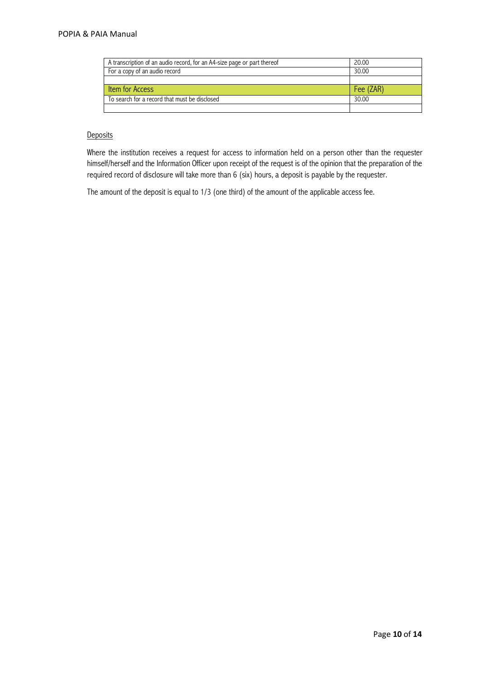| A transcription of an audio record, for an A4-size page or part thereof | 20.00     |
|-------------------------------------------------------------------------|-----------|
| For a copy of an audio record                                           | 30.00     |
|                                                                         |           |
| Item for Access                                                         | Fee (ZAR) |
| To search for a record that must be disclosed                           | 30.00     |
|                                                                         |           |

### **Deposits**

Where the institution receives a request for access to information held on a person other than the requester himself/herself and the Information Officer upon receipt of the request is of the opinion that the preparation of the required record of disclosure will take more than 6 (six) hours, a deposit is payable by the requester.

The amount of the deposit is equal to 1/3 (one third) of the amount of the applicable access fee.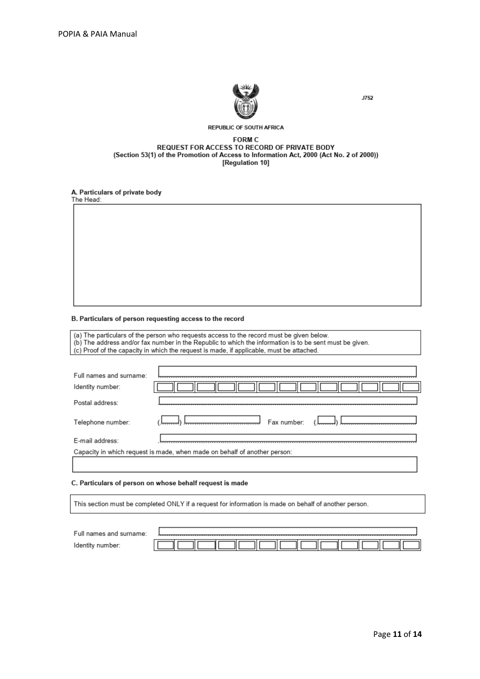

J752

#### **REPUBLIC OF SOUTH AFRICA**

### **FORM C** REQUEST FOR ACCESS TO RECORD OF PRIVATE BODY<br>(Section 53(1) of the Promotion of Access to Information Act, 2000 (Act No. 2 of 2000)) [Regulation 10]

### A. Particulars of private body

The Head:

#### B. Particulars of person requesting access to the record

(a) The particulars of the person who requests access to the record must be given below.<br>(b) The address and/or fax number in the Republic to which the information is to be sent must be given.<br>(c) Proof of the capacity in

| Postal address:<br>Fax number:<br>Telephone number:                       | Full names and surname:<br>Identity number: |  |
|---------------------------------------------------------------------------|---------------------------------------------|--|
|                                                                           |                                             |  |
|                                                                           |                                             |  |
| E-mail address:                                                           |                                             |  |
| Capacity in which request is made, when made on behalf of another person: |                                             |  |

#### C. Particulars of person on whose behalf request is made

This section must be completed ONLY if a request for information is made on behalf of another person.

| Full names and surname: |  |  |  |  |  |  |
|-------------------------|--|--|--|--|--|--|
| number.<br>ldentit      |  |  |  |  |  |  |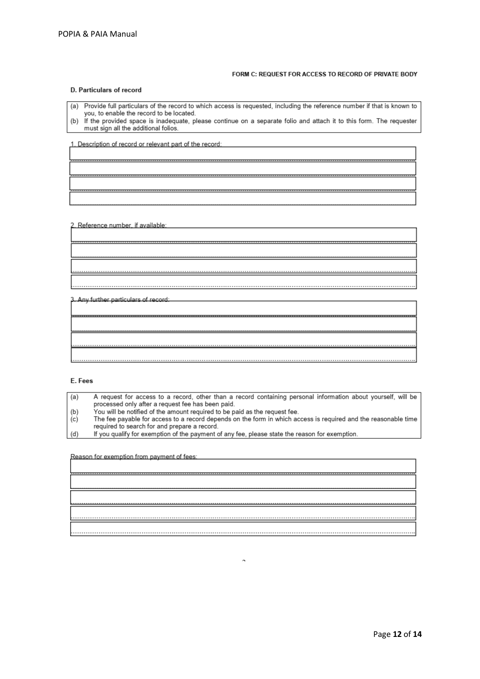#### FORM C: REQUEST FOR ACCESS TO RECORD OF PRIVATE BODY

#### D. Particulars of record

- (a) Provide full particulars of the record to which access is requested, including the reference number if that is known to you, to enable the record to be located.
- (b) If the provided space is inadequate, please continue on a separate folio and attach it to this form. The requester must sign all the additional folios.

1. Description of record or relevant part of the record:

### 2. Reference number, if available:

3. Any further particulars of record:

|  |  |  |  |  | . |
|--|--|--|--|--|---|

#### E. Fees

| (a) | A request for access to a record, other than a record containing personal information about yourself, will be  |
|-----|----------------------------------------------------------------------------------------------------------------|
|     | processed only after a request fee has been paid.                                                              |
| (b) | You will be notified of the amount required to be paid as the request fee.                                     |
| (c) | The fee payable for access to a record depends on the form in which access is required and the reasonable time |
|     | required to search for and prepare a record.                                                                   |
| (d) | If you qualify for exemption of the payment of any fee, please state the reason for exemption.                 |

Reason for exemption from payment of fees: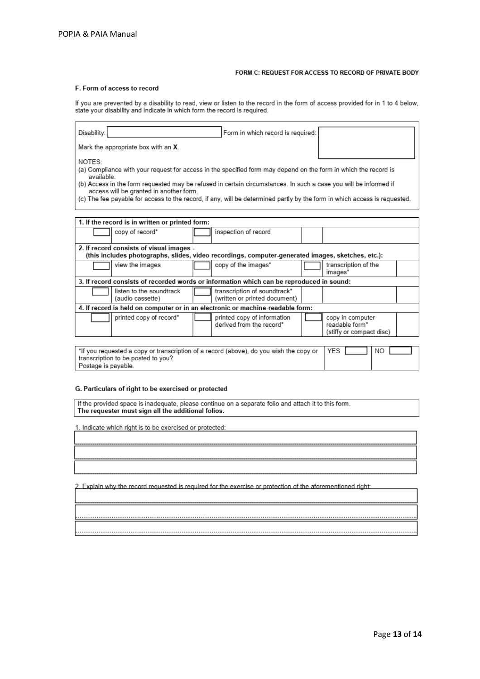#### FORM C: REQUEST FOR ACCESS TO RECORD OF PRIVATE BODY

#### F. Form of access to record

If you are prevented by a disability to read, view or listen to the record in the form of access provided for in 1 to 4 below,<br>state your disability and indicate in which form the record is required.

| Disability:<br>Form in which record is required:                                                                                                                                                                                                                                                                                                                                                                                   |                                                                                          |                                                                |  |  |  |  |  |
|------------------------------------------------------------------------------------------------------------------------------------------------------------------------------------------------------------------------------------------------------------------------------------------------------------------------------------------------------------------------------------------------------------------------------------|------------------------------------------------------------------------------------------|----------------------------------------------------------------|--|--|--|--|--|
| Mark the appropriate box with an X.                                                                                                                                                                                                                                                                                                                                                                                                |                                                                                          |                                                                |  |  |  |  |  |
| NOTES:<br>(a) Compliance with your request for access in the specified form may depend on the form in which the record is<br>available<br>(b) Access in the form requested may be refused in certain circumstances. In such a case you will be informed if<br>access will be granted in another form.<br>(c) The fee payable for access to the record, if any, will be determined partly by the form in which access is requested. |                                                                                          |                                                                |  |  |  |  |  |
| 1. If the record is in written or printed form:                                                                                                                                                                                                                                                                                                                                                                                    |                                                                                          |                                                                |  |  |  |  |  |
| copy of record*                                                                                                                                                                                                                                                                                                                                                                                                                    | inspection of record                                                                     |                                                                |  |  |  |  |  |
| 2. If record consists of visual images -<br>(this includes photographs, slides, video recordings, computer-generated images, sketches, etc.):                                                                                                                                                                                                                                                                                      |                                                                                          |                                                                |  |  |  |  |  |
| view the images                                                                                                                                                                                                                                                                                                                                                                                                                    | copy of the images*                                                                      | transcription of the<br>images*                                |  |  |  |  |  |
|                                                                                                                                                                                                                                                                                                                                                                                                                                    | 3. If record consists of recorded words or information which can be reproduced in sound: |                                                                |  |  |  |  |  |
| listen to the soundtrack<br>(audio cassette)                                                                                                                                                                                                                                                                                                                                                                                       | transcription of soundtrack*<br>(written or printed document)                            |                                                                |  |  |  |  |  |
|                                                                                                                                                                                                                                                                                                                                                                                                                                    | 4. If record is held on computer or in an electronic or machine-readable form:           |                                                                |  |  |  |  |  |
| printed copy of record*                                                                                                                                                                                                                                                                                                                                                                                                            | printed copy of information<br>derived from the record*                                  | copy in computer<br>readable form*<br>(stiffy or compact disc) |  |  |  |  |  |
| *If you requested a copy or transcription of a record (above), do you wish the copy or                                                                                                                                                                                                                                                                                                                                             | <b>YES</b><br>NO.                                                                        |                                                                |  |  |  |  |  |

transcription to be posted to you? Postage is payable.

#### G. Particulars of right to be exercised or protected

If the provided space is inadequate, please continue on a separate folio and attach it to this form.<br>The requester must sign all the additional folios.

1. Indicate which right is to be exercised or protected:

2. Explain why the record requested is required for the exercise or protection of the aforementioned right: